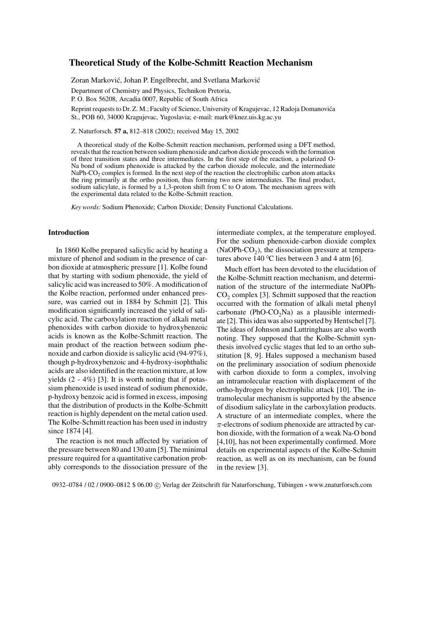# **Theoretical Study of the Kolbe-Schmitt Reaction Mechanism**

Zoran Marković, Johan P. Engelbrecht, and Svetlana Marković

Department of Chemistry and Physics, Technikon Pretoria,

P. O. Box 56208, Arcadia 0007, Republic of South Africa

Reprint requests to Dr. Z. M.; Faculty of Science, University of Kragujevac, 12 Radoja Domanovica´ St., POB 60, 34000 Kragujevac, Yugoslavia; e-mail: mark@knez.uis.kg.ac.yu

Z. Naturforsch. **57 a,** 812–818 (2002); received May 15, 2002

A theoretical study of the Kolbe-Schmitt reaction mechanism, performed using a DFT method, reveals that the reaction between sodium phenoxide and carbon dioxide proceeds with the formation of three transition states and three intermediates. In the first step of the reaction, a polarized O-Na bond of sodium phenoxide is attacked by the carbon dioxide molecule, and the intermediate NaPh-CO<sub>2</sub> complex is formed. In the next step of the reaction the electrophilic carbon atom attacks the ring primarily at the ortho position, thus forming two new intermediates. The final product, sodium salicylate, is formed by a 1,3-proton shift from C to O atom. The mechanism agrees with the experimental data related to the Kolbe-Schmitt reaction.

*Key words:* Sodium Phenoxide; Carbon Dioxide; Density Functional Calculations.

## **Introduction**

In 1860 Kolbe prepared salicylic acid by heating a mixture of phenol and sodium in the presence of carbon dioxide at atmospheric pressure [1]. Kolbe found that by starting with sodium phenoxide, the yield of salicylic acid was increased to 50%. A modification of the Kolbe reaction, performed under enhanced pressure, was carried out in 1884 by Schmitt [2]. This modification significantly increased the yield of salicylic acid. The carboxylation reaction of alkali metal phenoxides with carbon dioxide to hydroxybenzoic acids is known as the Kolbe-Schmitt reaction. The main product of the reaction between sodium phenoxide and carbon dioxide is salicylic acid (94-97%), though p-hydroxybenzoic and 4-hydroxy-isophthalic acids are also identified in the reaction mixture, at low yields  $(2 - 4\%)$  [3]. It is worth noting that if potassium phenoxide is used instead of sodium phenoxide, p-hydroxy benzoic acid is formed in excess, imposing that the distribution of products in the Kolbe-Schmitt reaction is highly dependent on the metal cation used. The Kolbe-Schmitt reaction has been used in industry since 1874 [4].

The reaction is not much affected by variation of the pressure between 80 and 130 atm [5]. The minimal pressure required for a quantitative carbonation probably corresponds to the dissociation pressure of the intermediate complex, at the temperature employed. For the sodium phenoxide-carbon dioxide complex  $(NaOPh-CO<sub>2</sub>)$ , the dissociation pressure at temperatures above 140  $^{\circ}$ C lies between 3 and 4 atm [6].

Much effort has been devoted to the elucidation of the Kolbe-Schmitt reaction mechanism, and determination of the structure of the intermediate NaOPh- $CO<sub>2</sub>$  complex [3]. Schmitt supposed that the reaction occurred with the formation of alkali metal phenyl carbonate (PhO-CO<sub>2</sub>Na) as a plausible intermediate [2]. This idea was also supported by Hentschel [7]. The ideas of Johnson and Luttringhaus are also worth noting. They supposed that the Kolbe-Schmitt synthesis involved cyclic stages that led to an ortho substitution [8, 9]. Hales supposed a mechanism based on the preliminary association of sodium phenoxide with carbon dioxide to form a complex, involving an intramolecular reaction with displacement of the ortho-hydrogen by electrophilic attack [10]. The intramolecular mechanism is supported by the absence of disodium salicylate in the carboxylation products. A structure of an intermediate complex, where the  $\pi$ -electrons of sodium phenoxide are attracted by carbon dioxide, with the formation of a weak Na-O bond [4,10], has not been experimentally confirmed. More details on experimental aspects of the Kolbe-Schmitt reaction, as well as on its mechanism, can be found in the review [3].

0932–0784 / 02 / 0900–0812 \$ 06.00 © Verlag der Zeitschrift für Naturforschung, Tübingen · www.znaturforsch.com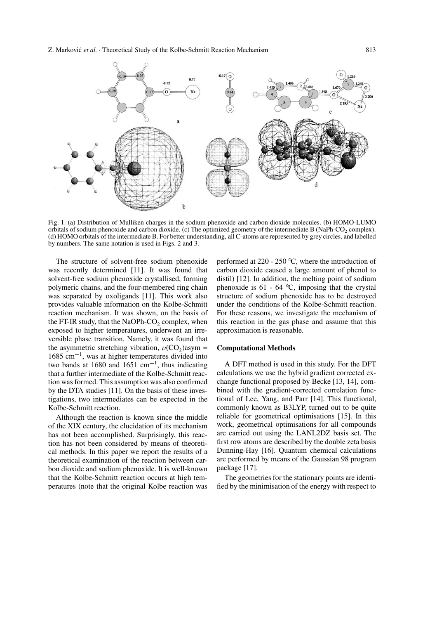## Z. Marković et al. · Theoretical Study of the Kolbe-Schmitt Reaction Mechanism 813



Fig. 1. (a) Distribution of Mulliken charges in the sodium phenoxide and carbon dioxide molecules. (b) HOMO-LUMO orbitals of sodium phenoxide and carbon dioxide. (c) The optimized geometry of the intermediate B (NaPh-CO<sub>2</sub> complex). (d) HOMO orbitals of the intermediate B. For better understanding, all C-atoms are represented by grey circles, and labelled by numbers. The same notation is used in Figs. 2 and 3.

The structure of solvent-free sodium phenoxide was recently determined [11]. It was found that solvent-free sodium phenoxide crystallised, forming polymeric chains, and the four-membered ring chain was separated by oxoligands [11]. This work also provides valuable information on the Kolbe-Schmitt reaction mechanism. It was shown, on the basis of the FT-IR study, that the NaOPh-CO<sub>2</sub> complex, when exposed to higher temperatures, underwent an irreversible phase transition. Namely, it was found that the asymmetric stretching vibration,  $\nu(CO_2)$ asym =  $1685$  cm<sup> $-1$ </sup>, was at higher temperatures divided into two bands at 1680 and 1651 cm<sup>-1</sup>, thus indicating that a further intermediate of the Kolbe-Schmitt reaction was formed. This assumption was also confirmed by the DTA studies [11]. On the basis of these investigations, two intermediates can be expected in the Kolbe-Schmitt reaction.

Although the reaction is known since the middle of the XIX century, the elucidation of its mechanism has not been accomplished. Surprisingly, this reaction has not been considered by means of theoretical methods. In this paper we report the results of a theoretical examination of the reaction between carbon dioxide and sodium phenoxide. It is well-known that the Kolbe-Schmitt reaction occurs at high temperatures (note that the original Kolbe reaction was

performed at  $220 - 250$  °C, where the introduction of carbon dioxide caused a large amount of phenol to distil) [12]. In addition, the melting point of sodium phenoxide is  $61 - 64$  °C, imposing that the crystal structure of sodium phenoxide has to be destroyed under the conditions of the Kolbe-Schmitt reaction. For these reasons, we investigate the mechanism of this reaction in the gas phase and assume that this approximation is reasonable.

#### **Computational Methods**

A DFT method is used in this study. For the DFT calculations we use the hybrid gradient corrected exchange functional proposed by Becke [13, 14], combined with the gradient-corrected correlation functional of Lee, Yang, and Parr [14]. This functional, commonly known as B3LYP, turned out to be quite reliable for geometrical optimisations [15]. In this work, geometrical optimisations for all compounds are carried out using the LANL2DZ basis set. The first row atoms are described by the double zeta basis Dunning-Hay [16]. Quantum chemical calculations are performed by means of the Gaussian 98 program package [17].

The geometries for the stationary points are identified by the minimisation of the energy with respect to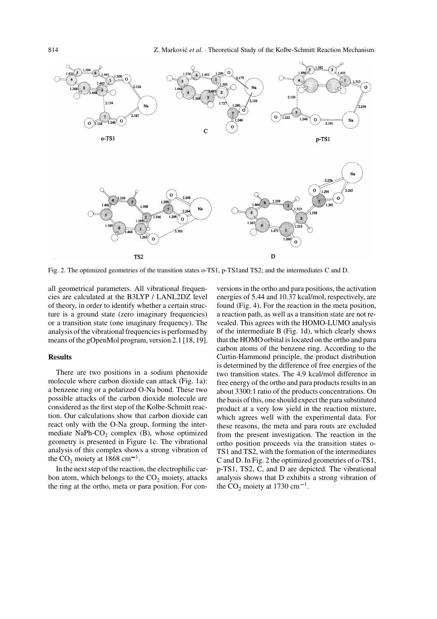

Fig. 2. The optimized geometries of the transition states o-TS1, p-TS1and TS2; and the intermediates C and D.

all geometrical parameters. All vibrational frequencies are calculated at the B3LYP / LANL2DZ level of theory, in order to identify whether a certain structure is a ground state (zero imaginary frequencies) or a transition state (one imaginary frequency). The analysis of the vibrational frequencies is performed by means of the gOpenMol program, version 2.1 [18, 19].

## **Results**

There are two positions in a sodium phenoxide molecule where carbon dioxide can attack (Fig. 1a): a benzene ring or a polarized O-Na bond. These two possible attacks of the carbon dioxide molecule are considered as the first step of the Kolbe-Schmitt reaction. Our calculations show that carbon dioxide can react only with the O-Na group, forming the intermediate NaPh- $CO<sub>2</sub>$  complex (B), whose optimized geometry is presented in Figure 1c. The vibrational analysis of this complex shows a strong vibration of the  $CO_2$  moiety at 1868 cm<sup>-1</sup>.

In the next step of the reaction, the electrophilic carbon atom, which belongs to the  $CO<sub>2</sub>$  moiety, attacks the ring at the ortho, meta or para position. For con-

versions in the ortho and para positions, the activation energies of 5.44 and 10.37 kcal/mol, respectively, are found (Fig. 4). For the reaction in the meta position, a reaction path, as well as a transition state are not revealed. This agrees with the HOMO-LUMO analysis of the intermediate B (Fig. 1d), which clearly shows that the HOMO orbital is located on the ortho and para carbon atoms of the benzene ring. According to the Curtin-Hammond principle, the product distribution is determined by the difference of free energies of the two transition states. The 4.9 kcal/mol difference in free energy of the ortho and para products results in an about 3300:1 ratio of the products concentrations. On the basis of this, one should expect the para substituted product at a very low yield in the reaction mixture, which agrees well with the experimental data. For these reasons, the meta and para routs are excluded from the present investigation. The reaction in the ortho position proceeds via the transition states o-TS1 and TS2, with the formation of the intermediates C and D. In Fig. 2 the optimized geometries of o-TS1, p-TS1, TS2, C, and D are depicted. The vibrational analysis shows that D exhibits a strong vibration of the  $CO_2$  moiety at 1730 cm<sup>-1</sup>.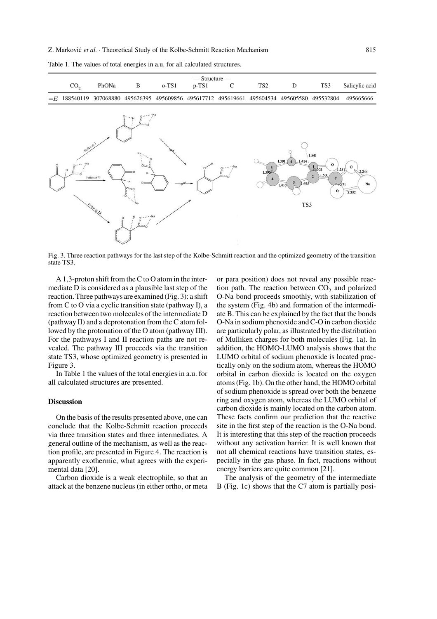

Table 1. The values of total energies in a.u. for all calculated structures.

Fig. 3. Three reaction pathways for the last step of the Kolbe-Schmitt reaction and the optimized geometry of the transition state TS3.

A 1,3-proton shift from the C to O atom in the intermediate D is considered as a plausible last step of the reaction. Three pathways are examined (Fig. 3): a shift from C to O via a cyclic transition state (pathway I), a reaction between two molecules of the intermediate D (pathway II) and a deprotonation from the C atom followed by the protonation of the O atom (pathway III). For the pathways I and II reaction paths are not revealed. The pathway III proceeds via the transition state TS3, whose optimized geometry is presented in Figure 3.

In Table 1 the values of the total energies in a.u. for all calculated structures are presented.

## **Discussion**

On the basis of the results presented above, one can conclude that the Kolbe-Schmitt reaction proceeds via three transition states and three intermediates. A general outline of the mechanism, as well as the reaction profile, are presented in Figure 4. The reaction is apparently exothermic, what agrees with the experimental data [20].

Carbon dioxide is a weak electrophile, so that an attack at the benzene nucleus (in either ortho, or meta

or para position) does not reveal any possible reaction path. The reaction between  $CO<sub>2</sub>$  and polarized O-Na bond proceeds smoothly, with stabilization of the system (Fig. 4b) and formation of the intermediate B. This can be explained by the fact that the bonds O-Na in sodium phenoxide and C-O in carbon dioxide are particularly polar, as illustrated by the distribution of Mulliken charges for both molecules (Fig. 1a). In addition, the HOMO-LUMO analysis shows that the LUMO orbital of sodium phenoxide is located practically only on the sodium atom, whereas the HOMO orbital in carbon dioxide is located on the oxygen atoms (Fig. 1b). On the other hand, the HOMO orbital of sodium phenoxide is spread over both the benzene ring and oxygen atom, whereas the LUMO orbital of carbon dioxide is mainly located on the carbon atom. These facts confirm our prediction that the reactive site in the first step of the reaction is the O-Na bond. It is interesting that this step of the reaction proceeds without any activation barrier. It is well known that not all chemical reactions have transition states, especially in the gas phase. In fact, reactions without energy barriers are quite common [21].

The analysis of the geometry of the intermediate B (Fig. 1c) shows that the C7 atom is partially posi-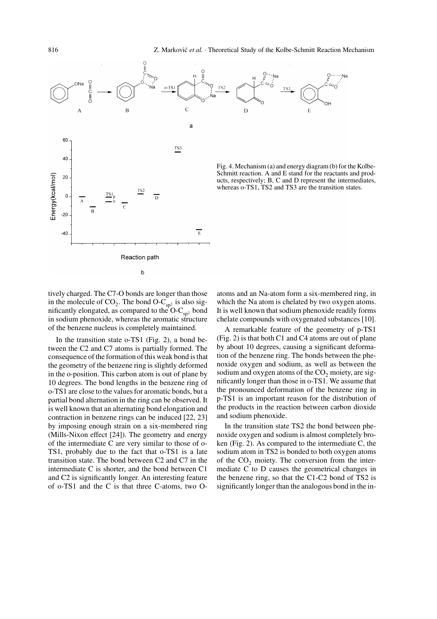

tively charged. The C7-O bonds are longer than those in the molecule of  $CO_2$ . The bond  $O-C_{sp^2}$  is also significantly elongated, as compared to the  $O-C_{\text{sn}^2}$  bond in sodium phenoxide, whereas the aromatic structure of the benzene nucleus is completely maintained.

In the transition state o-TS1 (Fig. 2), a bond between the C2 and C7 atoms is partially formed. The consequence of the formation of this weak bond is that the geometry of the benzene ring is slightly deformed in the o-position. This carbon atom is out of plane by 10 degrees. The bond lengths in the benzene ring of o-TS1 are close to the values for aromatic bonds, but a partial bond alternation in the ring can be observed. It is well known that an alternating bond elongation and contraction in benzene rings can be induced [22, 23] by imposing enough strain on a six-membered ring (Mills-Nixon effect [24]). The geometry and energy of the intermediate C are very similar to those of o-TS1, probably due to the fact that o-TS1 is a late transition state. The bond between C2 and C7 in the intermediate C is shorter, and the bond between C1 and C2 is significantly longer. An interesting feature of o-TS1 and the C is that three C-atoms, two O-

atoms and an Na-atom form a six-membered ring, in which the Na atom is chelated by two oxygen atoms. It is well known that sodium phenoxide readily forms chelate compounds with oxygenated substances [10].

A remarkable feature of the geometry of p-TS1 (Fig. 2) is that both C1 and C4 atoms are out of plane by about 10 degrees, causing a significant deformation of the benzene ring. The bonds between the phenoxide oxygen and sodium, as well as between the sodium and oxygen atoms of the  $CO<sub>2</sub>$  moiety, are significantly longer than those in o-TS1. We assume that the pronounced deformation of the benzene ring in p-TS1 is an important reason for the distribution of the products in the reaction between carbon dioxide and sodium phenoxide.

In the transition state TS2 the bond between phenoxide oxygen and sodium is almost completely broken (Fig. 2). As compared to the intermediate C, the sodium atom in TS2 is bonded to both oxygen atoms of the  $CO<sub>2</sub>$  moiety. The conversion from the intermediate C to D causes the geometrical changes in the benzene ring, so that the C1-C2 bond of TS2 is significantly longer than the analogous bond in the in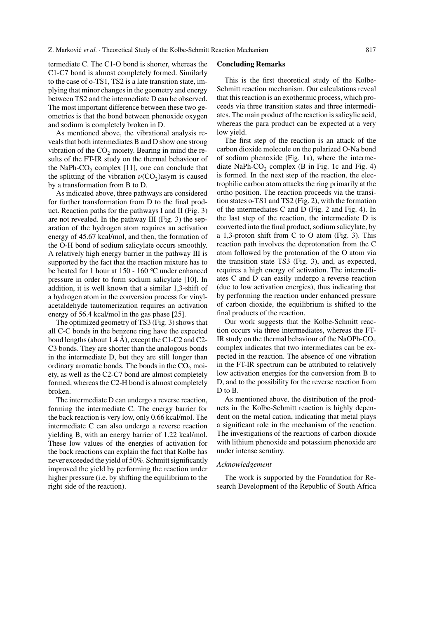termediate C. The C1-O bond is shorter, whereas the C1-C7 bond is almost completely formed. Similarly to the case of o-TS1, TS2 is a late transition state, implying that minor changes in the geometry and energy between TS2 and the intermediate D can be observed. The most important difference between these two geometries is that the bond between phenoxide oxygen and sodium is completely broken in D.

As mentioned above, the vibrational analysis reveals that both intermediates B and D show one strong vibration of the  $CO<sub>2</sub>$  moiety. Bearing in mind the results of the FT-IR study on the thermal behaviour of the NaPh-CO<sub>2</sub> complex  $[11]$ , one can conclude that the splitting of the vibration  $\nu(CO_2)$  asym is caused by a transformation from B to D.

As indicated above, three pathways are considered for further transformation from D to the final product. Reaction paths for the pathways I and II (Fig. 3) are not revealed. In the pathway III (Fig. 3) the separation of the hydrogen atom requires an activation energy of 45.67 kcal/mol, and then, the formation of the O-H bond of sodium salicylate occurs smoothly. A relatively high energy barrier in the pathway III is supported by the fact that the reaction mixture has to be heated for 1 hour at 150 - 160 °C under enhanced pressure in order to form sodium salicylate [10]. In addition, it is well known that a similar 1,3-shift of a hydrogen atom in the conversion process for vinylacetaldehyde tautomerization requires an activation energy of 56.4 kcal/mol in the gas phase [25].

The optimized geometry of TS3 (Fig. 3) shows that all C-C bonds in the benzene ring have the expected bond lengths (about 1.4  $\dot{A}$ ), except the C1-C2 and C2-C3 bonds. They are shorter than the analogous bonds in the intermediate D, but they are still longer than ordinary aromatic bonds. The bonds in the  $CO<sub>2</sub>$  moiety, as well as the C2-C7 bond are almost completely formed, whereas the C2-H bond is almost completely broken.

The intermediate D can undergo a reverse reaction, forming the intermediate C. The energy barrier for the back reaction is very low, only 0.66 kcal/mol. The intermediate C can also undergo a reverse reaction yielding B, with an energy barrier of 1.22 kcal/mol. These low values of the energies of activation for the back reactions can explain the fact that Kolbe has never exceeded the yield of 50%. Schmitt significantly improved the yield by performing the reaction under higher pressure (i.e. by shifting the equilibrium to the right side of the reaction).

### **Concluding Remarks**

This is the first theoretical study of the Kolbe-Schmitt reaction mechanism. Our calculations reveal that this reaction is an exothermic process, which proceeds via three transition states and three intermediates. The main product of the reaction is salicylic acid, whereas the para product can be expected at a very low yield.

The first step of the reaction is an attack of the carbon dioxide molecule on the polarized O-Na bond of sodium phenoxide (Fig. 1a), where the intermediate NaPh-CO<sub>2</sub> complex (B in Fig. 1c and Fig. 4) is formed. In the next step of the reaction, the electrophilic carbon atom attacks the ring primarily at the ortho position. The reaction proceeds via the transition states o-TS1 and TS2 (Fig. 2), with the formation of the intermediates C and D (Fig. 2 and Fig. 4). In the last step of the reaction, the intermediate D is converted into the final product, sodium salicylate, by a 1,3-proton shift from C to O atom (Fig. 3). This reaction path involves the deprotonation from the C atom followed by the protonation of the O atom via the transition state TS3 (Fig. 3), and, as expected, requires a high energy of activation. The intermediates C and D can easily undergo a reverse reaction (due to low activation energies), thus indicating that by performing the reaction under enhanced pressure of carbon dioxide, the equilibrium is shifted to the final products of the reaction.

Our work suggests that the Kolbe-Schmitt reaction occurs via three intermediates, whereas the FT-IR study on the thermal behaviour of the NaOPh-CO<sub>2</sub> complex indicates that two intermediates can be expected in the reaction. The absence of one vibration in the FT-IR spectrum can be attributed to relatively low activation energies for the conversion from B to D, and to the possibility for the reverse reaction from D to B.

As mentioned above, the distribution of the products in the Kolbe-Schmitt reaction is highly dependent on the metal cation, indicating that metal plays a significant role in the mechanism of the reaction. The investigations of the reactions of carbon dioxide with lithium phenoxide and potassium phenoxide are under intense scrutiny.

### *Acknowledgement*

The work is supported by the Foundation for Research Development of the Republic of South Africa